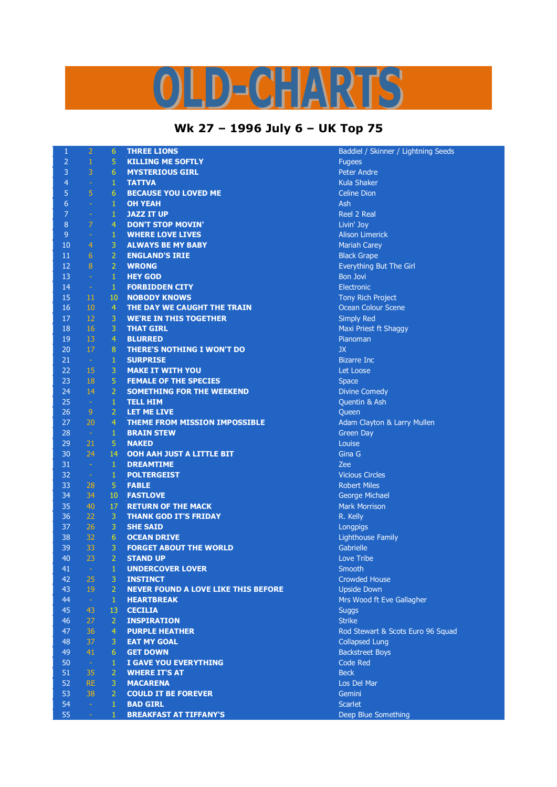## LD-CHARTS

## **Wk 27 – 1996 July 6 – UK Top 75**

| $\mathbf{1}$   | $\overline{2}$ | 6               | <b>THREE LIONS</b>                         | Baddiel / Skinner / Lightning Seeds |
|----------------|----------------|-----------------|--------------------------------------------|-------------------------------------|
| $\overline{2}$ | $\mathbf{1}$   | 5               | <b>KILLING ME SOFTLY</b>                   | <b>Fugees</b>                       |
| 3              | 3              | 6               | <b>MYSTERIOUS GIRL</b>                     | <b>Peter Andre</b>                  |
| 4              | $\rightarrow$  | $\mathbf{1}$    | <b>TATTVA</b>                              | <b>Kula Shaker</b>                  |
| 5              | 5              | 6               | <b>BECAUSE YOU LOVED ME</b>                | <b>Celine Dion</b>                  |
| 6              | $\omega$       | $\mathbf{1}$    | <b>OH YEAH</b>                             | Ash                                 |
| 7              | $\rightarrow$  | 1               | <b>JAZZ IT UP</b>                          | <b>Reel 2 Real</b>                  |
| 8              | $\overline{7}$ | $\overline{4}$  | <b>DON'T STOP MOVIN'</b>                   | Livin' Joy                          |
| 9              | $\rightarrow$  | $\mathbf{1}$    | <b>WHERE LOVE LIVES</b>                    | <b>Alison Limerick</b>              |
| 10             | $\overline{4}$ | 3               | <b>ALWAYS BE MY BABY</b>                   | <b>Mariah Carey</b>                 |
| 11             | 6              | $\overline{2}$  | <b>ENGLAND'S IRIE</b>                      | <b>Black Grape</b>                  |
| 12             | 8              | $\overline{2}$  | <b>WRONG</b>                               | Everything But The Girl             |
| 13             | $\omega$       | $\mathbf{1}$    | <b>HEY GOD</b>                             | <b>Bon Jovi</b>                     |
| 14             | $\sim$         | $\mathbf{1}$    | <b>FORBIDDEN CITY</b>                      | Electronic                          |
| 15             | 11             | 10              | <b>NOBODY KNOWS</b>                        | <b>Tony Rich Project</b>            |
| 16             | 10             | $\overline{4}$  | THE DAY WE CAUGHT THE TRAIN                | Ocean Colour Scene                  |
| 17             | 12             | 3               | <b>WE'RE IN THIS TOGETHER</b>              | <b>Simply Red</b>                   |
| 18             | 16             | 3               | <b>THAT GIRL</b>                           | Maxi Priest ft Shaggy               |
| 19             | 13             | $\overline{4}$  | <b>BLURRED</b>                             | Pianoman                            |
| 20             | 17             | 8               | <b>THERE'S NOTHING I WON'T DO</b>          | <b>JX</b>                           |
| 21             | $\sim$         | 1               | <b>SURPRISE</b>                            | <b>Bizarre Inc</b>                  |
| 22             | 15             | 3               | <b>MAKE IT WITH YOU</b>                    | Let Loose                           |
| 23             | 18             | 5               | <b>FEMALE OF THE SPECIES</b>               | <b>Space</b>                        |
| 24             | 14             | $\overline{2}$  | <b>SOMETHING FOR THE WEEKEND</b>           | <b>Divine Comedy</b>                |
| 25             | $\sim$         | 1               | <b>TELL HIM</b>                            | Quentin & Ash                       |
| 26             | 9              | $\overline{2}$  | <b>LET ME LIVE</b>                         | Queen                               |
| 27             | 20             | $\overline{4}$  | <b>THEME FROM MISSION IMPOSSIBLE</b>       | Adam Clayton & Larry Mullen         |
| 28             | $\sim$         | 1               | <b>BRAIN STEW</b>                          | Green Day                           |
| 29             | 21             | 5               | <b>NAKED</b>                               | Louise                              |
| 30             | 24             | 14              | OOH AAH JUST A LITTLE BIT                  | Gina G                              |
| 31             | $\sim$         | $\mathbf{1}$    | <b>DREAMTIME</b>                           | Zee                                 |
| 32             | $\sim$         | $\mathbf{1}$    | <b>POLTERGEIST</b>                         | <b>Vicious Circles</b>              |
| 33             | 28             | 5               | <b>FABLE</b>                               | <b>Robert Miles</b>                 |
| 34             | 34             | 10              | <b>FASTLOVE</b>                            | George Michael                      |
| 35             | 40             | 17              | <b>RETURN OF THE MACK</b>                  | <b>Mark Morrison</b>                |
| 36             | 22             | 3               | <b>THANK GOD IT'S FRIDAY</b>               | R. Kelly                            |
| 37             | 26             | 3               | <b>SHE SAID</b>                            | Longpigs                            |
| 38             | 32             | $6\phantom{1}6$ | <b>OCEAN DRIVE</b>                         | <b>Lighthouse Family</b>            |
| 39             | 33             | 3               | <b>FORGET ABOUT THE WORLD</b>              | Gabrielle                           |
| 40             | 23             | $\overline{2}$  | <b>STAND UP</b>                            | Love Tribe                          |
| 41             | $\omega$       | 1               | <b>UNDERCOVER LOVER</b>                    | Smooth                              |
| 42             | 25             | 3               | <b>INSTINCT</b>                            | <b>Crowded House</b>                |
| 43             | 19             | $\overline{2}$  | <b>NEVER FOUND A LOVE LIKE THIS BEFORE</b> | <b>Upside Down</b>                  |
| 44             | $\pm$          | $\mathbf{1}$    | <b>HEARTBREAK</b>                          | Mrs Wood ft Eve Gallagher           |
| 45             | 43             | 13              | <b>CECILIA</b>                             | <b>Suggs</b>                        |
| 46             | 27             | $\overline{2}$  | <b>INSPIRATION</b>                         | <b>Strike</b>                       |
| 47             | 36             | $\overline{4}$  | <b>PURPLE HEATHER</b>                      | Rod Stewart & Scots Euro 96 Squad   |
| 48             | 37             | 3               | <b>EAT MY GOAL</b>                         | <b>Collapsed Lung</b>               |
| 49             | 41             | 6               | <b>GET DOWN</b>                            | <b>Backstreet Boys</b>              |
| 50             | $\sim$         | $\mathbf{1}$    | I GAVE YOU EVERYTHING                      | Code Red                            |
| 51             | 35             | $\overline{2}$  | <b>WHERE IT'S AT</b>                       | <b>Beck</b>                         |
| 52             | <b>RE</b>      | 3               | <b>MACARENA</b>                            | Los Del Mar                         |
| 53             | 38             | $\overline{2}$  | <b>COULD IT BE FOREVER</b>                 | Gemini                              |
| 54             | $\omega$       | $\mathbf{1}$    | <b>BAD GIRL</b>                            | <b>Scarlet</b>                      |
| 55             | ÷.             | $\mathbf{1}$    | <b>BREAKFAST AT TIFFANY'S</b>              | Deep Blue Something                 |
|                |                |                 |                                            |                                     |